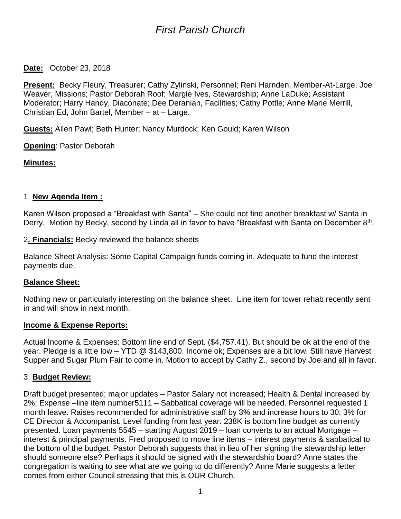# *First Parish Church*

**Date:** October 23, 2018

**Present:** Becky Fleury, Treasurer; Cathy Zylinski, Personnel; Reni Harnden, Member-At-Large; Joe Weaver, Missions; Pastor Deborah Roof; Margie Ives, Stewardship; Anne LaDuke; Assistant Moderator; Harry Handy, Diaconate; Dee Deranian, Facilities; Cathy Pottle; Anne Marie Merrill, Christian Ed, John Bartel, Member – at – Large.

**Guests:** Allen Pawl; Beth Hunter; Nancy Murdock; Ken Gould; Karen Wilson

**Opening**: Pastor Deborah

**Minutes:**

## 1. **New Agenda Item :**

Karen Wilson proposed a "Breakfast with Santa" – She could not find another breakfast w/ Santa in Derry. Motion by Becky, second by Linda all in favor to have "Breakfast with Santa on December 8<sup>th</sup>.

2**. Financials:** Becky reviewed the balance sheets

Balance Sheet Analysis: Some Capital Campaign funds coming in. Adequate to fund the interest payments due.

# **Balance Sheet:**

Nothing new or particularly interesting on the balance sheet. Line item for tower rehab recently sent in and will show in next month.

#### **Income & Expense Reports:**

Actual Income & Expenses: Bottom line end of Sept. (\$4,757.41). But should be ok at the end of the year. Pledge is a little low – YTD @ \$143,800. Income ok; Expenses are a bit low. Still have Harvest Supper and Sugar Plum Fair to come in. Motion to accept by Cathy Z., second by Joe and all in favor.

#### 3. **Budget Review:**

Draft budget presented; major updates – Pastor Salary not increased; Health & Dental increased by 2%; Expense –line item number5111 – Sabbatical coverage will be needed. Personnel requested 1 month leave. Raises recommended for administrative staff by 3% and increase hours to 30; 3% for CE Director & Accompanist. Level funding from last year. 238K is bottom line budget as currently presented. Loan payments 5545 – starting August 2019 – loan converts to an actual Mortgage – interest & principal payments. Fred proposed to move line items – interest payments & sabbatical to the bottom of the budget. Pastor Deborah suggests that in lieu of her signing the stewardship letter should someone else? Perhaps it should be signed with the stewardship board? Anne states the congregation is waiting to see what are we going to do differently? Anne Marie suggests a letter comes from either Council stressing that this is OUR Church.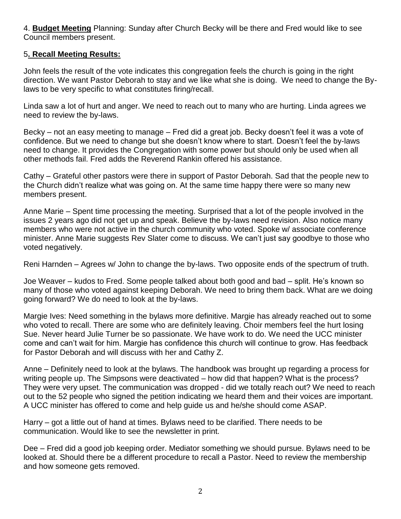4. **Budget Meeting** Planning: Sunday after Church Becky will be there and Fred would like to see Council members present.

## 5**. Recall Meeting Results:**

John feels the result of the vote indicates this congregation feels the church is going in the right direction. We want Pastor Deborah to stay and we like what she is doing. We need to change the Bylaws to be very specific to what constitutes firing/recall.

Linda saw a lot of hurt and anger. We need to reach out to many who are hurting. Linda agrees we need to review the by-laws.

Becky – not an easy meeting to manage – Fred did a great job. Becky doesn't feel it was a vote of confidence. But we need to change but she doesn't know where to start. Doesn't feel the by-laws need to change. It provides the Congregation with some power but should only be used when all other methods fail. Fred adds the Reverend Rankin offered his assistance.

Cathy – Grateful other pastors were there in support of Pastor Deborah. Sad that the people new to the Church didn't realize what was going on. At the same time happy there were so many new members present.

Anne Marie – Spent time processing the meeting. Surprised that a lot of the people involved in the issues 2 years ago did not get up and speak. Believe the by-laws need revision. Also notice many members who were not active in the church community who voted. Spoke w/ associate conference minister. Anne Marie suggests Rev Slater come to discuss. We can't just say goodbye to those who voted negatively.

Reni Harnden – Agrees w/ John to change the by-laws. Two opposite ends of the spectrum of truth.

Joe Weaver – kudos to Fred. Some people talked about both good and bad – split. He's known so many of those who voted against keeping Deborah. We need to bring them back. What are we doing going forward? We do need to look at the by-laws.

Margie Ives: Need something in the bylaws more definitive. Margie has already reached out to some who voted to recall. There are some who are definitely leaving. Choir members feel the hurt losing Sue. Never heard Julie Turner be so passionate. We have work to do. We need the UCC minister come and can't wait for him. Margie has confidence this church will continue to grow. Has feedback for Pastor Deborah and will discuss with her and Cathy Z.

Anne – Definitely need to look at the bylaws. The handbook was brought up regarding a process for writing people up. The Simpsons were deactivated – how did that happen? What is the process? They were very upset. The communication was dropped - did we totally reach out? We need to reach out to the 52 people who signed the petition indicating we heard them and their voices are important. A UCC minister has offered to come and help guide us and he/she should come ASAP.

Harry – got a little out of hand at times. Bylaws need to be clarified. There needs to be communication. Would like to see the newsletter in print.

Dee – Fred did a good job keeping order. Mediator something we should pursue. Bylaws need to be looked at. Should there be a different procedure to recall a Pastor. Need to review the membership and how someone gets removed.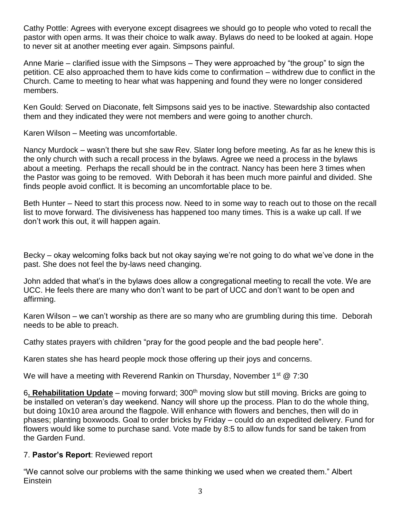Cathy Pottle: Agrees with everyone except disagrees we should go to people who voted to recall the pastor with open arms. It was their choice to walk away. Bylaws do need to be looked at again. Hope to never sit at another meeting ever again. Simpsons painful.

Anne Marie – clarified issue with the Simpsons – They were approached by "the group" to sign the petition. CE also approached them to have kids come to confirmation – withdrew due to conflict in the Church. Came to meeting to hear what was happening and found they were no longer considered members.

Ken Gould: Served on Diaconate, felt Simpsons said yes to be inactive. Stewardship also contacted them and they indicated they were not members and were going to another church.

Karen Wilson – Meeting was uncomfortable.

Nancy Murdock – wasn't there but she saw Rev. Slater long before meeting. As far as he knew this is the only church with such a recall process in the bylaws. Agree we need a process in the bylaws about a meeting. Perhaps the recall should be in the contract. Nancy has been here 3 times when the Pastor was going to be removed. With Deborah it has been much more painful and divided. She finds people avoid conflict. It is becoming an uncomfortable place to be.

Beth Hunter – Need to start this process now. Need to in some way to reach out to those on the recall list to move forward. The divisiveness has happened too many times. This is a wake up call. If we don't work this out, it will happen again.

Becky – okay welcoming folks back but not okay saying we're not going to do what we've done in the past. She does not feel the by-laws need changing.

John added that what's in the bylaws does allow a congregational meeting to recall the vote. We are UCC. He feels there are many who don't want to be part of UCC and don't want to be open and affirming.

Karen Wilson – we can't worship as there are so many who are grumbling during this time. Deborah needs to be able to preach.

Cathy states prayers with children "pray for the good people and the bad people here".

Karen states she has heard people mock those offering up their joys and concerns.

We will have a meeting with Reverend Rankin on Thursday, November 1<sup>st</sup> @ 7:30

6. Rehabilitation Update – moving forward; 300<sup>th</sup> moving slow but still moving. Bricks are going to be installed on veteran's day weekend. Nancy will shore up the process. Plan to do the whole thing, but doing 10x10 area around the flagpole. Will enhance with flowers and benches, then will do in phases; planting boxwoods. Goal to order bricks by Friday – could do an expedited delivery. Fund for flowers would like some to purchase sand. Vote made by 8:5 to allow funds for sand be taken from the Garden Fund.

# 7. **Pastor's Report**: Reviewed report

"We cannot solve our problems with the same thinking we used when we created them." Albert Einstein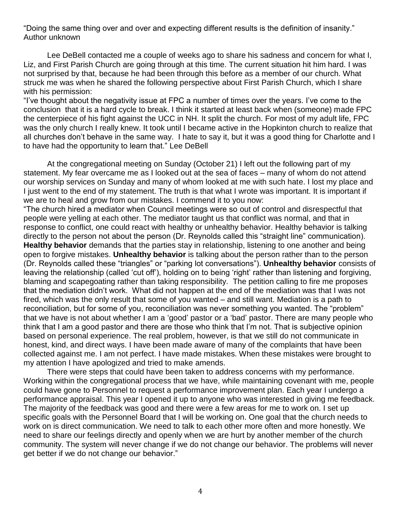"Doing the same thing over and over and expecting different results is the definition of insanity." Author unknown

Lee DeBell contacted me a couple of weeks ago to share his sadness and concern for what I, Liz, and First Parish Church are going through at this time. The current situation hit him hard. I was not surprised by that, because he had been through this before as a member of our church. What struck me was when he shared the following perspective about First Parish Church, which I share with his permission:

"I've thought about the negativity issue at FPC a number of times over the years. I've come to the conclusion that it is a hard cycle to break. I think it started at least back when (someone) made FPC the centerpiece of his fight against the UCC in NH. It split the church. For most of my adult life, FPC was the only church I really knew. It took until I became active in the Hopkinton church to realize that all churches don't behave in the same way. I hate to say it, but it was a good thing for Charlotte and I to have had the opportunity to learn that." Lee DeBell

At the congregational meeting on Sunday (October 21) I left out the following part of my statement. My fear overcame me as I looked out at the sea of faces – many of whom do not attend our worship services on Sunday and many of whom looked at me with such hate. I lost my place and I just went to the end of my statement. The truth is that what I wrote was important. It is important if we are to heal and grow from our mistakes. I commend it to you now:

"The church hired a mediator when Council meetings were so out of control and disrespectful that people were yelling at each other. The mediator taught us that conflict was normal, and that in response to conflict, one could react with healthy or unhealthy behavior. Healthy behavior is talking directly to the person not about the person (Dr. Reynolds called this "straight line" communication). **Healthy behavior** demands that the parties stay in relationship, listening to one another and being open to forgive mistakes. **Unhealthy behavior** is talking about the person rather than to the person (Dr. Reynolds called these "triangles" or "parking lot conversations"). **Unhealthy behavior** consists of leaving the relationship (called 'cut off'), holding on to being 'right' rather than listening and forgiving, blaming and scapegoating rather than taking responsibility. The petition calling to fire me proposes that the mediation didn't work. What did not happen at the end of the mediation was that I was not fired, which was the only result that some of you wanted – and still want. Mediation is a path to reconciliation, but for some of you, reconciliation was never something you wanted. The "problem" that we have is not about whether I am a 'good' pastor or a 'bad' pastor. There are many people who think that I am a good pastor and there are those who think that I'm not. That is subjective opinion based on personal experience. The real problem, however, is that we still do not communicate in honest, kind, and direct ways. I have been made aware of many of the complaints that have been collected against me. I am not perfect. I have made mistakes. When these mistakes were brought to my attention I have apologized and tried to make amends.

There were steps that could have been taken to address concerns with my performance. Working within the congregational process that we have, while maintaining covenant with me, people could have gone to Personnel to request a performance improvement plan. Each year I undergo a performance appraisal. This year I opened it up to anyone who was interested in giving me feedback. The majority of the feedback was good and there were a few areas for me to work on. I set up specific goals with the Personnel Board that I will be working on. One goal that the church needs to work on is direct communication. We need to talk to each other more often and more honestly. We need to share our feelings directly and openly when we are hurt by another member of the church community. The system will never change if we do not change our behavior. The problems will never get better if we do not change our behavior."